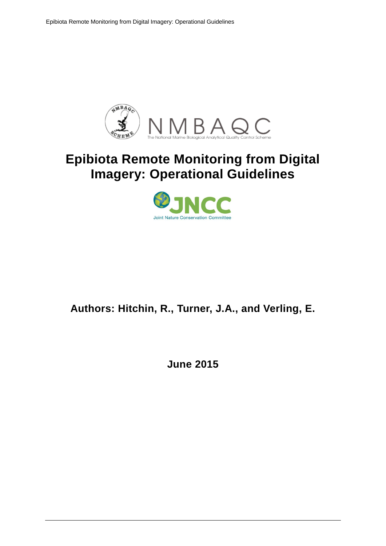

# **Epibiota Remote Monitoring from Digital Imagery: Operational Guidelines**



# **Authors: Hitchin, R., Turner, J.A., and Verling, E.**

**June 2015**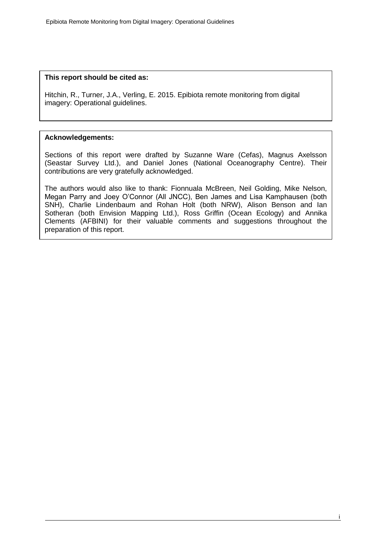#### **This report should be cited as:**

Hitchin, R., Turner, J.A., Verling, E. 2015. Epibiota remote monitoring from digital imagery: Operational guidelines.

#### **Acknowledgements:**

Sections of this report were drafted by Suzanne Ware (Cefas), Magnus Axelsson (Seastar Survey Ltd.), and Daniel Jones (National Oceanography Centre). Their contributions are very gratefully acknowledged.

The authors would also like to thank: Fionnuala McBreen, Neil Golding, Mike Nelson, Megan Parry and Joey O'Connor (All JNCC), Ben James and Lisa Kamphausen (both SNH), Charlie Lindenbaum and Rohan Holt (both NRW), Alison Benson and Ian Sotheran (both Envision Mapping Ltd.), Ross Griffin (Ocean Ecology) and Annika Clements (AFBINI) for their valuable comments and suggestions throughout the preparation of this report.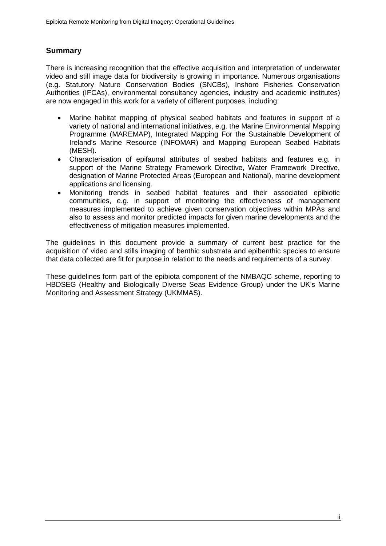### **Summary**

There is increasing recognition that the effective acquisition and interpretation of underwater video and still image data for biodiversity is growing in importance. Numerous organisations (e.g. Statutory Nature Conservation Bodies (SNCBs), Inshore Fisheries Conservation Authorities (IFCAs), environmental consultancy agencies, industry and academic institutes) are now engaged in this work for a variety of different purposes, including:

- Marine habitat mapping of physical seabed habitats and features in support of a variety of national and international initiatives, e.g. the Marine Environmental Mapping Programme (MAREMAP), Integrated Mapping For the Sustainable Development of Ireland's Marine Resource (INFOMAR) and Mapping European Seabed Habitats (MESH).
- Characterisation of epifaunal attributes of seabed habitats and features e.g. in support of the Marine Strategy Framework Directive, Water Framework Directive, designation of Marine Protected Areas (European and National), marine development applications and licensing.
- Monitoring trends in seabed habitat features and their associated epibiotic communities, e.g. in support of monitoring the effectiveness of management measures implemented to achieve given conservation objectives within MPAs and also to assess and monitor predicted impacts for given marine developments and the effectiveness of mitigation measures implemented.

The guidelines in this document provide a summary of current best practice for the acquisition of video and stills imaging of benthic substrata and epibenthic species to ensure that data collected are fit for purpose in relation to the needs and requirements of a survey.

These guidelines form part of the epibiota component of the NMBAQC scheme, reporting to HBDSEG (Healthy and Biologically Diverse Seas Evidence Group) under the UK's Marine Monitoring and Assessment Strategy (UKMMAS).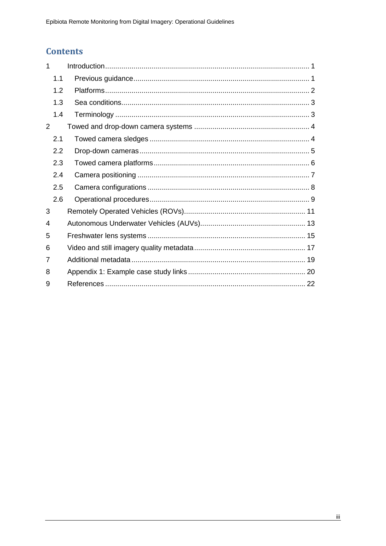## **Contents**

| 1 |                  |  |
|---|------------------|--|
|   | 1.1              |  |
|   | 1.2              |  |
|   | 1.3              |  |
|   | 1.4              |  |
| 2 |                  |  |
|   | 2.1              |  |
|   | $2.2\phantom{0}$ |  |
|   | 2.3              |  |
|   | 2.4              |  |
|   | 2.5              |  |
|   | 2.6              |  |
| 3 |                  |  |
| 4 |                  |  |
| 5 |                  |  |
| 6 |                  |  |
| 7 |                  |  |
| 8 |                  |  |
| 9 |                  |  |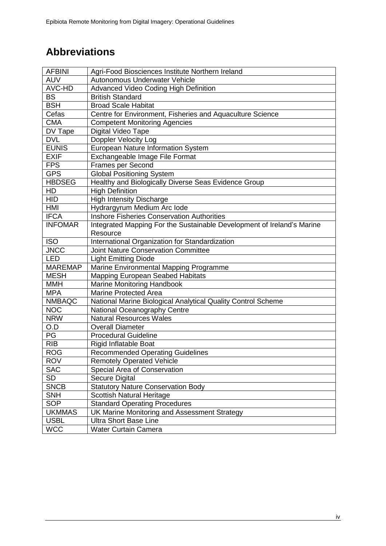# **Abbreviations**

| <b>AFBINI</b>  | Agri-Food Biosciences Institute Northern Ireland                       |
|----------------|------------------------------------------------------------------------|
| <b>AUV</b>     | Autonomous Underwater Vehicle                                          |
| AVC-HD         | Advanced Video Coding High Definition                                  |
| <b>BS</b>      | <b>British Standard</b>                                                |
| <b>BSH</b>     | <b>Broad Scale Habitat</b>                                             |
| Cefas          | Centre for Environment, Fisheries and Aquaculture Science              |
| <b>CMA</b>     | <b>Competent Monitoring Agencies</b>                                   |
| DV Tape        | Digital Video Tape                                                     |
| <b>DVL</b>     | <b>Doppler Velocity Log</b>                                            |
| <b>EUNIS</b>   | European Nature Information System                                     |
| <b>EXIF</b>    | Exchangeable Image File Format                                         |
| <b>FPS</b>     | Frames per Second                                                      |
| <b>GPS</b>     | <b>Global Positioning System</b>                                       |
| <b>HBDSEG</b>  | Healthy and Biologically Diverse Seas Evidence Group                   |
| HD             | <b>High Definition</b>                                                 |
| <b>HID</b>     | <b>High Intensity Discharge</b>                                        |
| <b>HMI</b>     | Hydrargyrum Medium Arc lode                                            |
| <b>IFCA</b>    | <b>Inshore Fisheries Conservation Authorities</b>                      |
| <b>INFOMAR</b> | Integrated Mapping For the Sustainable Development of Ireland's Marine |
|                | Resource                                                               |
| <b>ISO</b>     | International Organization for Standardization                         |
| <b>JNCC</b>    | <b>Joint Nature Conservation Committee</b>                             |
| <b>LED</b>     | <b>Light Emitting Diode</b>                                            |
| <b>MAREMAP</b> | Marine Environmental Mapping Programme                                 |
| <b>MESH</b>    | Mapping European Seabed Habitats                                       |
| <b>MMH</b>     | Marine Monitoring Handbook                                             |
| <b>MPA</b>     | <b>Marine Protected Area</b>                                           |
| <b>NMBAQC</b>  | National Marine Biological Analytical Quality Control Scheme           |
| <b>NOC</b>     | National Oceanography Centre                                           |
| <b>NRW</b>     | <b>Natural Resources Wales</b>                                         |
| O.D            | <b>Overall Diameter</b>                                                |
| PG             | <b>Procedural Guideline</b>                                            |
| <b>RIB</b>     | Rigid Inflatable Boat                                                  |
| <b>ROG</b>     | <b>Recommended Operating Guidelines</b>                                |
| <b>ROV</b>     | <b>Remotely Operated Vehicle</b>                                       |
| <b>SAC</b>     | Special Area of Conservation                                           |
| <b>SD</b>      | <b>Secure Digital</b>                                                  |
| <b>SNCB</b>    | <b>Statutory Nature Conservation Body</b>                              |
| <b>SNH</b>     | <b>Scottish Natural Heritage</b>                                       |
| <b>SOP</b>     | <b>Standard Operating Procedures</b>                                   |
| <b>UKMMAS</b>  | UK Marine Monitoring and Assessment Strategy                           |
| <b>USBL</b>    | <b>Ultra Short Base Line</b>                                           |
| <b>WCC</b>     | Water Curtain Camera                                                   |
|                |                                                                        |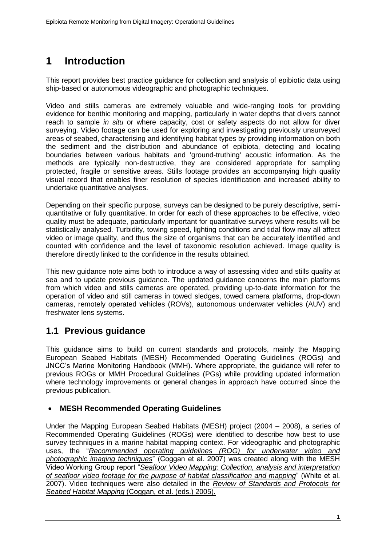# <span id="page-5-0"></span>**1 Introduction**

This report provides best practice guidance for collection and analysis of epibiotic data using ship-based or autonomous videographic and photographic techniques.

Video and stills cameras are extremely valuable and wide-ranging tools for providing evidence for benthic monitoring and mapping, particularly in water depths that divers cannot reach to sample *in situ* or where capacity, cost or safety aspects do not allow for diver surveying. Video footage can be used for exploring and investigating previously unsurveyed areas of seabed, characterising and identifying habitat types by providing information on both the sediment and the distribution and abundance of epibiota, detecting and locating boundaries between various habitats and 'ground-truthing' acoustic information. As the methods are typically non-destructive, they are considered appropriate for sampling protected, fragile or sensitive areas. Stills footage provides an accompanying high quality visual record that enables finer resolution of species identification and increased ability to undertake quantitative analyses.

Depending on their specific purpose, surveys can be designed to be purely descriptive, semiquantitative or fully quantitative. In order for each of these approaches to be effective, video quality must be adequate, particularly important for quantitative surveys where results will be statistically analysed. Turbidity, towing speed, lighting conditions and tidal flow may all affect video or image quality, and thus the size of organisms that can be accurately identified and counted with confidence and the level of taxonomic resolution achieved. Image quality is therefore directly linked to the confidence in the results obtained.

This new guidance note aims both to introduce a way of assessing video and stills quality at sea and to update previous guidance. The updated guidance concerns the main platforms from which video and stills cameras are operated, providing up-to-date information for the operation of video and still cameras in towed sledges, towed camera platforms, drop-down cameras, remotely operated vehicles (ROVs), autonomous underwater vehicles (AUV) and freshwater lens systems.

### <span id="page-5-1"></span>**1.1 Previous guidance**

This guidance aims to build on current standards and protocols, mainly the Mapping European Seabed Habitats (MESH) Recommended Operating Guidelines (ROGs) and JNCC's Marine Monitoring Handbook (MMH). Where appropriate, the guidance will refer to previous ROGs or MMH Procedural Guidelines (PGs) while providing updated information where technology improvements or general changes in approach have occurred since the previous publication.

### **MESH Recommended Operating Guidelines**

Under the Mapping European Seabed Habitats (MESH) project (2004 – 2008), a series of Recommended Operating Guidelines (ROGs) were identified to describe how best to use survey techniques in a marine habitat mapping context. For videographic and photographic uses, the "*[Recommended operating guidelines \(ROG\)](http://www.emodnet-seabedhabitats.eu/pdf/GMHM3_Video_ROG.pdf) for underwater video and [photographic imaging techniques](http://www.emodnet-seabedhabitats.eu/pdf/GMHM3_Video_ROG.pdf)*" (Coggan et al. 2007) was created along with the MESH Video Working Group report "*[Seafloor Video Mapping: Collection, analysis and interpretation](http://www.emodnet-seabedhabitats.eu/PDF/Video%20Working%20Group%20Report.pdf)  [of seafloor video footage for the purpose of habitat classification and mapping](http://www.emodnet-seabedhabitats.eu/PDF/Video%20Working%20Group%20Report.pdf)*" (White et al. 2007). Video techniques were also detailed in the *Review of Standards and Protocols for Seabed Habitat Mapping* (Coggan, et al. (eds.) 2005).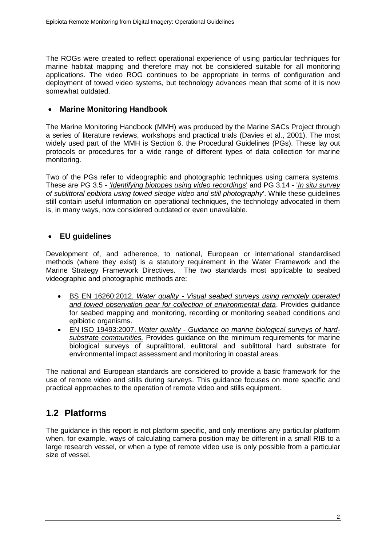The ROGs were created to reflect operational experience of using particular techniques for marine habitat mapping and therefore may not be considered suitable for all monitoring applications. The video ROG continues to be appropriate in terms of configuration and deployment of towed video systems, but technology advances mean that some of it is now somewhat outdated.

### **Marine Monitoring Handbook**

The Marine Monitoring Handbook (MMH) was produced by the Marine SACs Project through a series of literature reviews, workshops and practical trials (Davies et al., 2001). The most widely used part of the MMH is Section 6, the Procedural Guidelines (PGs). These lay out protocols or procedures for a wide range of different types of data collection for marine monitoring.

Two of the PGs refer to videographic and photographic techniques using camera systems. These are PG 3.5 - *['Identifying biotopes using video recordings](http://jncc.defra.gov.uk/PDF/MMH-Pg%203-5.pdf)*' and PG 3.14 - '*[In situ survey](http://jncc.defra.gov.uk/PDF/MMH-Pg%203-14.pdf)  [of sublittoral epibiota using towed sledge video and still photography](http://jncc.defra.gov.uk/PDF/MMH-Pg%203-14.pdf)*'. While these guidelines still contain useful information on operational techniques, the technology advocated in them is, in many ways, now considered outdated or even unavailable.

### **EU guidelines**

Development of, and adherence, to national, European or international standardised methods (where they exist) is a statutory requirement in the Water Framework and the Marine Strategy Framework Directives. The two standards most applicable to seabed videographic and photographic methods are:

- BS EN 16260:2012. *Water quality - [Visual seabed surveys using remotely operated](http://shop.bsigroup.com/ProductDetail/?pid=000000000030241897)  [and towed observation gear for collection of environmental data](http://shop.bsigroup.com/ProductDetail/?pid=000000000030241897)*. Provides guidance for seabed mapping and monitoring, recording or monitoring seabed conditions and epibiotic organisms.
- EN ISO 19493:2007. *Water quality - [Guidance on marine biological surveys of hard](http://www.iso.org/iso/catalogue_detail.htm?csnumber=39107)[substrate communities.](http://www.iso.org/iso/catalogue_detail.htm?csnumber=39107)* Provides guidance on the minimum requirements for marine biological surveys of supralittoral, eulittoral and sublittoral hard substrate for environmental impact assessment and monitoring in coastal areas.

The national and European standards are considered to provide a basic framework for the use of remote video and stills during surveys. This guidance focuses on more specific and practical approaches to the operation of remote video and stills equipment.

## <span id="page-6-0"></span>**1.2 Platforms**

The guidance in this report is not platform specific, and only mentions any particular platform when, for example, ways of calculating camera position may be different in a small RIB to a large research vessel, or when a type of remote video use is only possible from a particular size of vessel.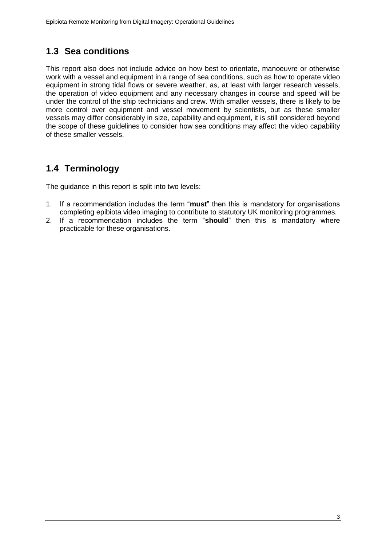## <span id="page-7-0"></span>**1.3 Sea conditions**

This report also does not include advice on how best to orientate, manoeuvre or otherwise work with a vessel and equipment in a range of sea conditions, such as how to operate video equipment in strong tidal flows or severe weather, as, at least with larger research vessels, the operation of video equipment and any necessary changes in course and speed will be under the control of the ship technicians and crew. With smaller vessels, there is likely to be more control over equipment and vessel movement by scientists, but as these smaller vessels may differ considerably in size, capability and equipment, it is still considered beyond the scope of these guidelines to consider how sea conditions may affect the video capability of these smaller vessels.

## <span id="page-7-1"></span>**1.4 Terminology**

The guidance in this report is split into two levels:

- 1. If a recommendation includes the term "**must**" then this is mandatory for organisations completing epibiota video imaging to contribute to statutory UK monitoring programmes.
- 2. If a recommendation includes the term "**should**" then this is mandatory where practicable for these organisations.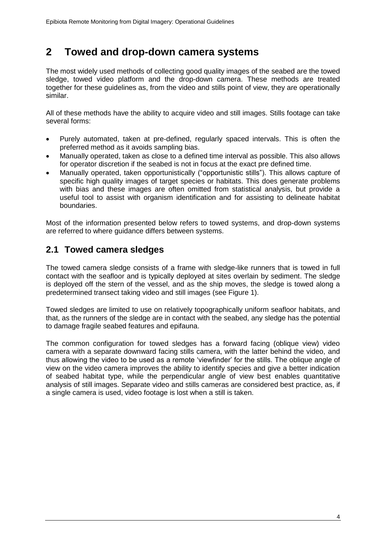## <span id="page-8-0"></span>**2 Towed and drop-down camera systems**

The most widely used methods of collecting good quality images of the seabed are the towed sledge, towed video platform and the drop-down camera. These methods are treated together for these guidelines as, from the video and stills point of view, they are operationally similar.

All of these methods have the ability to acquire video and still images. Stills footage can take several forms:

- Purely automated, taken at pre-defined, regularly spaced intervals. This is often the preferred method as it avoids sampling bias.
- Manually operated, taken as close to a defined time interval as possible. This also allows for operator discretion if the seabed is not in focus at the exact pre defined time.
- Manually operated, taken opportunistically ("opportunistic stills"). This allows capture of specific high quality images of target species or habitats. This does generate problems with bias and these images are often omitted from statistical analysis, but provide a useful tool to assist with organism identification and for assisting to delineate habitat boundaries.

Most of the information presented below refers to towed systems, and drop-down systems are referred to where guidance differs between systems.

### <span id="page-8-1"></span>**2.1 Towed camera sledges**

The towed camera sledge consists of a frame with sledge-like runners that is towed in full contact with the seafloor and is typically deployed at sites overlain by sediment. The sledge is deployed off the stern of the vessel, and as the ship moves, the sledge is towed along a predetermined transect taking video and still images (see Figure 1).

Towed sledges are limited to use on relatively topographically uniform seafloor habitats, and that, as the runners of the sledge are in contact with the seabed, any sledge has the potential to damage fragile seabed features and epifauna.

The common configuration for towed sledges has a forward facing (oblique view) video camera with a separate downward facing stills camera, with the latter behind the video, and thus allowing the video to be used as a remote 'viewfinder' for the stills. The oblique angle of view on the video camera improves the ability to identify species and give a better indication of seabed habitat type, while the perpendicular angle of view best enables quantitative analysis of still images. Separate video and stills cameras are considered best practice, as, if a single camera is used, video footage is lost when a still is taken.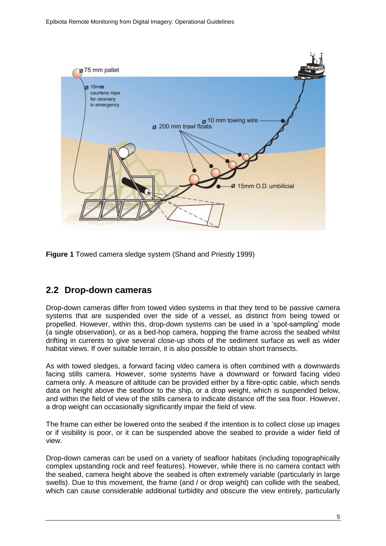

**Figure 1** Towed camera sledge system (Shand and Priestly 1999)

### <span id="page-9-0"></span>**2.2 Drop-down cameras**

Drop-down cameras differ from towed video systems in that they tend to be passive camera systems that are suspended over the side of a vessel, as distinct from being towed or propelled. However, within this, drop-down systems can be used in a 'spot-sampling' mode (a single observation), or as a bed-hop camera, hopping the frame across the seabed whilst drifting in currents to give several close-up shots of the sediment surface as well as wider habitat views. If over suitable terrain, it is also possible to obtain short transects.

As with towed sledges, a forward facing video camera is often combined with a downwards facing stills camera. However, some systems have a downward or forward facing video camera only. A measure of altitude can be provided either by a fibre-optic cable, which sends data on height above the seafloor to the ship, or a drop weight, which is suspended below, and within the field of view of the stills camera to indicate distance off the sea floor. However, a drop weight can occasionally significantly impair the field of view.

The frame can either be lowered onto the seabed if the intention is to collect close up images or if visibility is poor, or it can be suspended above the seabed to provide a wider field of view.

Drop-down cameras can be used on a variety of seafloor habitats (including topographically complex upstanding rock and reef features). However, while there is no camera contact with the seabed, camera height above the seabed is often extremely variable (particularly in large swells). Due to this movement, the frame (and / or drop weight) can collide with the seabed, which can cause considerable additional turbidity and obscure the view entirely, particularly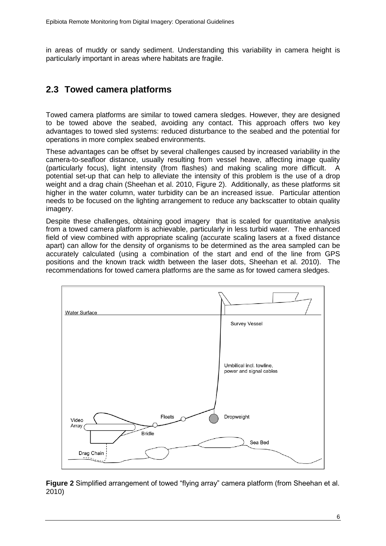in areas of muddy or sandy sediment. Understanding this variability in camera height is particularly important in areas where habitats are fragile.

## <span id="page-10-0"></span>**2.3 Towed camera platforms**

Towed camera platforms are similar to towed camera sledges. However, they are designed to be towed above the seabed, avoiding any contact. This approach offers two key advantages to towed sled systems: reduced disturbance to the seabed and the potential for operations in more complex seabed environments.

These advantages can be offset by several challenges caused by increased variability in the camera-to-seafloor distance, usually resulting from vessel heave, affecting image quality (particularly focus), light intensity (from flashes) and making scaling more difficult. A potential set-up that can help to alleviate the intensity of this problem is the use of a drop weight and a drag chain (Sheehan et al. 2010, Figure 2). Additionally, as these platforms sit higher in the water column, water turbidity can be an increased issue. Particular attention needs to be focused on the lighting arrangement to reduce any backscatter to obtain quality imagery.

Despite these challenges, obtaining good imagery that is scaled for quantitative analysis from a towed camera platform is achievable, particularly in less turbid water. The enhanced field of view combined with appropriate scaling (accurate scaling lasers at a fixed distance apart) can allow for the density of organisms to be determined as the area sampled can be accurately calculated (using a combination of the start and end of the line from GPS positions and the known track width between the laser dots, Sheehan et al. 2010). The recommendations for towed camera platforms are the same as for towed camera sledges.



**Figure 2** Simplified arrangement of towed "flying array" camera platform (from Sheehan et al. 2010)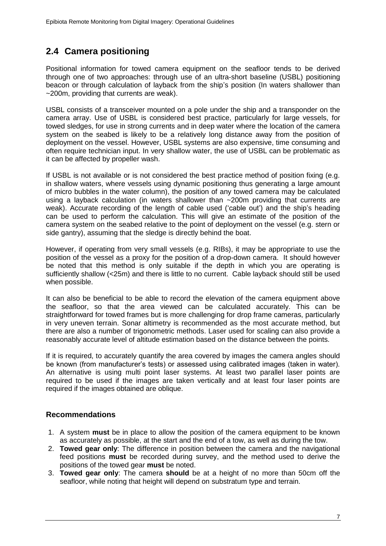## <span id="page-11-0"></span>**2.4 Camera positioning**

Positional information for towed camera equipment on the seafloor tends to be derived through one of two approaches: through use of an ultra-short baseline (USBL) positioning beacon or through calculation of layback from the ship's position (In waters shallower than ~200m, providing that currents are weak).

USBL consists of a [transceiver](http://en.wikipedia.org/wiki/Transceiver) mounted on a pole under the ship and a transponder on the camera array. Use of USBL is considered best practice, particularly for large vessels, for towed sledges, for use in strong currents and in deep water where the location of the camera system on the seabed is likely to be a relatively long distance away from the position of deployment on the vessel. However, USBL systems are also expensive, time consuming and often require technician input. In very shallow water, the use of USBL can be problematic as it can be affected by propeller wash.

If USBL is not available or is not considered the best practice method of position fixing (e.g. in shallow waters, where vessels using dynamic positioning thus generating a large amount of micro bubbles in the water column), the position of any towed camera may be calculated using a layback calculation (in waters shallower than ~200m providing that currents are weak). Accurate recording of the length of cable used ('cable out') and the ship's heading can be used to perform the calculation. This will give an estimate of the position of the camera system on the seabed relative to the point of deployment on the vessel (e.g. stern or side gantry), assuming that the sledge is directly behind the boat.

However, if operating from very small vessels (e.g. RIBs), it may be appropriate to use the position of the vessel as a proxy for the position of a drop-down camera. It should however be noted that this method is only suitable if the depth in which you are operating is sufficiently shallow (<25m) and there is little to no current. Cable layback should still be used when possible.

It can also be beneficial to be able to record the elevation of the camera equipment above the seafloor, so that the area viewed can be calculated accurately. This can be straightforward for towed frames but is more challenging for drop frame cameras, particularly in very uneven terrain. Sonar altimetry is recommended as the most accurate method, but there are also a number of trigonometric methods. Laser used for scaling can also provide a reasonably accurate level of altitude estimation based on the distance between the points.

If it is required, to accurately quantify the area covered by images the camera angles should be known (from manufacturer's tests) or assessed using calibrated images (taken in water). An alternative is using multi point laser systems. At least two parallel laser points are required to be used if the images are taken vertically and at least four laser points are required if the images obtained are oblique.

### **Recommendations**

- 1. A system **must** be in place to allow the position of the camera equipment to be known as accurately as possible, at the start and the end of a tow, as well as during the tow.
- 2. **Towed gear only**: The difference in position between the camera and the navigational feed positions **must** be recorded during survey, and the method used to derive the positions of the towed gear **must** be noted.
- 3. **Towed gear only**: The camera **should** be at a height of no more than 50cm off the seafloor, while noting that height will depend on substratum type and terrain.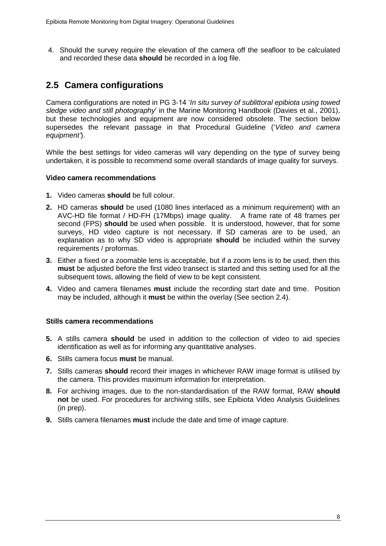4. Should the survey require the elevation of the camera off the seafloor to be calculated and recorded these data **should** be recorded in a log file.

## <span id="page-12-0"></span>**2.5 Camera configurations**

Camera configurations are noted in PG 3-14 '*In situ survey of sublittoral epibiota using towed sledge video and still photography*' in the Marine Monitoring Handbook (Davies et al., 2001), but these technologies and equipment are now considered obsolete. The section below supersedes the relevant passage in that Procedural Guideline ('*Video and camera equipment'*).

While the best settings for video cameras will vary depending on the type of survey being undertaken, it is possible to recommend some overall standards of image quality for surveys.

#### **Video camera recommendations**

- **1.** Video cameras **should** be full colour.
- **2.** HD cameras **should** be used (1080 lines interlaced as a minimum requirement) with an AVC-HD file format / HD-FH (17Mbps) image quality. A frame rate of 48 frames per second (FPS) **should** be used when possible. It is understood, however, that for some surveys. HD video capture is not necessary. If SD cameras are to be used, an explanation as to why SD video is appropriate **should** be included within the survey requirements / proformas.
- **3.** Either a fixed or a zoomable lens is acceptable, but if a zoom lens is to be used, then this **must** be adjusted before the first video transect is started and this setting used for all the subsequent tows, allowing the field of view to be kept consistent.
- **4.** Video and camera filenames **must** include the recording start date and time. Position may be included, although it **must** be within the overlay (See section 2.4).

#### **Stills camera recommendations**

- **5.** A stills camera **should** be used in addition to the collection of video to aid species identification as well as for informing any quantitative analyses.
- **6.** Stills camera focus **must** be manual.
- **7.** Stills cameras **should** record their images in whichever RAW image format is utilised by the camera. This provides maximum information for interpretation.
- **8.** For archiving images, due to the non-standardisation of the RAW format, RAW **should not** be used. For procedures for archiving stills, see Epibiota Video Analysis Guidelines (in prep).
- **9.** Stills camera filenames **must** include the date and time of image capture.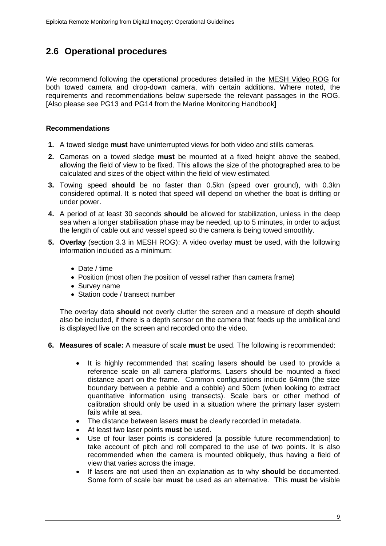## <span id="page-13-0"></span>**2.6 Operational procedures**

We recommend following the operational procedures detailed in the [MESH Video ROG](http://www.emodnet-seabedhabitats.eu/pdf/GMHM3_Video_ROG.pdf) for both towed camera and drop-down camera, with certain additions. Where noted, the requirements and recommendations below supersede the relevant passages in the ROG. [Also please see PG13 and PG14 from the Marine Monitoring Handbook]

#### **Recommendations**

- **1.** A towed sledge **must** have uninterrupted views for both video and stills cameras.
- **2.** Cameras on a towed sledge **must** be mounted at a fixed height above the seabed, allowing the field of view to be fixed. This allows the size of the photographed area to be calculated and sizes of the object within the field of view estimated.
- **3.** Towing speed **should** be no faster than 0.5kn (speed over ground), with 0.3kn considered optimal. It is noted that speed will depend on whether the boat is drifting or under power.
- **4.** A period of at least 30 seconds **should** be allowed for stabilization, unless in the deep sea when a longer stabilisation phase may be needed, up to 5 minutes, in order to adjust the length of cable out and vessel speed so the camera is being towed smoothly.
- **5. Overlay** (section 3.3 in MESH ROG): A video overlay **must** be used, with the following information included as a minimum:
	- Date / time
	- Position (most often the position of vessel rather than camera frame)
	- Survey name
	- Station code / transect number

The overlay data **should** not overly clutter the screen and a measure of depth **should** also be included, if there is a depth sensor on the camera that feeds up the umbilical and is displayed live on the screen and recorded onto the video.

- **6. Measures of scale:** A measure of scale **must** be used. The following is recommended:
	- It is highly recommended that scaling lasers **should** be used to provide a reference scale on all camera platforms. Lasers should be mounted a fixed distance apart on the frame. Common configurations include 64mm (the size boundary between a pebble and a cobble) and 50cm (when looking to extract quantitative information using transects). Scale bars or other method of calibration should only be used in a situation where the primary laser system fails while at sea.
	- The distance between lasers **must** be clearly recorded in metadata.
	- At least two laser points **must** be used.
	- Use of four laser points is considered [a possible future recommendation] to take account of pitch and roll compared to the use of two points. It is also recommended when the camera is mounted obliquely, thus having a field of view that varies across the image.
	- If lasers are not used then an explanation as to why **should** be documented. Some form of scale bar **must** be used as an alternative. This **must** be visible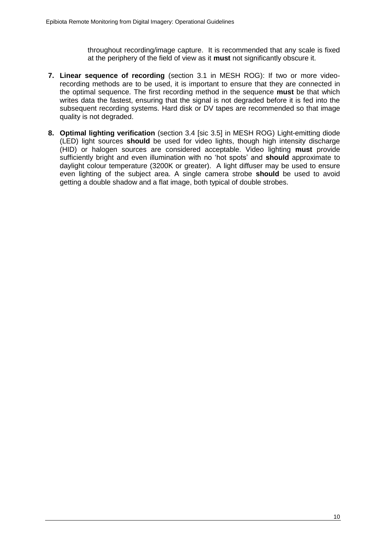throughout recording/image capture. It is recommended that any scale is fixed at the periphery of the field of view as it **must** not significantly obscure it.

- **7. Linear sequence of recording** (section 3.1 in MESH ROG): If two or more videorecording methods are to be used, it is important to ensure that they are connected in the optimal sequence. The first recording method in the sequence **must** be that which writes data the fastest, ensuring that the signal is not degraded before it is fed into the subsequent recording systems. Hard disk or DV tapes are recommended so that image quality is not degraded.
- **8. Optimal lighting verification** (section 3.4 [sic 3.5] in MESH ROG) Light-emitting diode (LED) light sources **should** be used for video lights, though high intensity discharge (HID) or halogen sources are considered acceptable. Video lighting **must** provide sufficiently bright and even illumination with no 'hot spots' and **should** approximate to daylight colour temperature (3200K or greater). A light diffuser may be used to ensure even lighting of the subject area. A single camera strobe **should** be used to avoid getting a double shadow and a flat image, both typical of double strobes.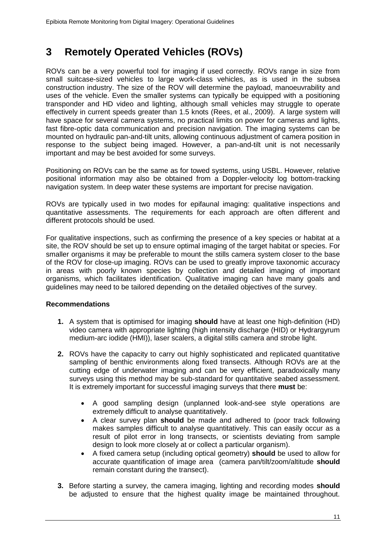## <span id="page-15-0"></span>**3 Remotely Operated Vehicles (ROVs)**

ROVs can be a very powerful tool for imaging if used correctly. ROVs range in size from small suitcase-sized vehicles to large work-class vehicles, as is used in the subsea construction industry. The size of the ROV will determine the payload, manoeuvrability and uses of the vehicle. Even the smaller systems can typically be equipped with a positioning transponder and HD video and lighting, although small vehicles may struggle to operate effectively in current speeds greater than 1.5 knots (Rees, et al., 2009). A large system will have space for several camera systems, no practical limits on power for cameras and lights, fast fibre-optic data communication and precision navigation. The imaging systems can be mounted on hydraulic pan-and-tilt units, allowing continuous adjustment of camera position in response to the subject being imaged. However, a pan-and-tilt unit is not necessarily important and may be best avoided for some surveys.

Positioning on ROVs can be the same as for towed systems, using USBL. However, relative positional information may also be obtained from a Doppler-velocity log bottom-tracking navigation system. In deep water these systems are important for precise navigation.

ROVs are typically used in two modes for epifaunal imaging: qualitative inspections and quantitative assessments. The requirements for each approach are often different and different protocols should be used.

For qualitative inspections, such as confirming the presence of a key species or habitat at a site, the ROV should be set up to ensure optimal imaging of the target habitat or species. For smaller organisms it may be preferable to mount the stills camera system closer to the base of the ROV for close-up imaging. ROVs can be used to greatly improve taxonomic accuracy in areas with poorly known species by collection and detailed imaging of important organisms, which facilitates identification. Qualitative imaging can have many goals and guidelines may need to be tailored depending on the detailed objectives of the survey.

### **Recommendations**

- **1.** A system that is optimised for imaging **should** have at least one high-definition (HD) video camera with appropriate lighting (high intensity discharge (HID) or Hydrargyrum medium-arc iodide (HMI)), laser scalers, a digital stills camera and strobe light.
- **2.** ROVs have the capacity to carry out highly sophisticated and replicated quantitative sampling of benthic environments along fixed transects. Although ROVs are at the cutting edge of underwater imaging and can be very efficient, paradoxically many surveys using this method may be sub-standard for quantitative seabed assessment. It is extremely important for successful imaging surveys that there **must** be:
	- A good sampling design (unplanned look-and-see style operations are extremely difficult to analyse quantitatively.
	- A clear survey plan **should** be made and adhered to (poor track following makes samples difficult to analyse quantitatively. This can easily occur as a result of pilot error in long transects, or scientists deviating from sample design to look more closely at or collect a particular organism).
	- A fixed camera setup (including optical geometry) **should** be used to allow for accurate quantification of image area (camera pan/tilt/zoom/altitude **should** remain constant during the transect).
- **3.** Before starting a survey, the camera imaging, lighting and recording modes **should** be adjusted to ensure that the highest quality image be maintained throughout.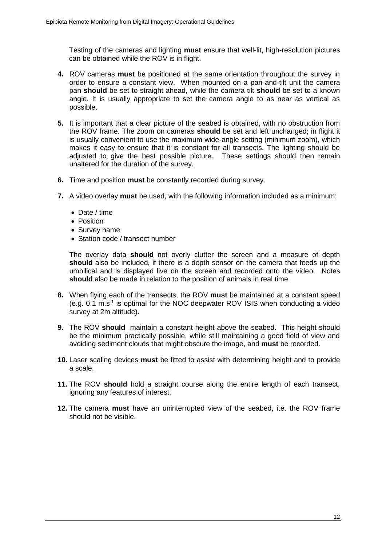Testing of the cameras and lighting **must** ensure that well-lit, high-resolution pictures can be obtained while the ROV is in flight.

- **4.** ROV cameras **must** be positioned at the same orientation throughout the survey in order to ensure a constant view. When mounted on a pan-and-tilt unit the camera pan **should** be set to straight ahead, while the camera tilt **should** be set to a known angle. It is usually appropriate to set the camera angle to as near as vertical as possible.
- **5.** It is important that a clear picture of the seabed is obtained, with no obstruction from the ROV frame. The zoom on cameras **should** be set and left unchanged; in flight it is usually convenient to use the maximum wide-angle setting (minimum zoom), which makes it easy to ensure that it is constant for all transects. The lighting should be adjusted to give the best possible picture. These settings should then remain unaltered for the duration of the survey.
- **6.** Time and position **must** be constantly recorded during survey.
- **7.** A video overlay **must** be used, with the following information included as a minimum:
	- Date / time
	- Position
	- Survey name
	- Station code / transect number

The overlay data **should** not overly clutter the screen and a measure of depth **should** also be included, if there is a depth sensor on the camera that feeds up the umbilical and is displayed live on the screen and recorded onto the video. Notes **should** also be made in relation to the position of animals in real time.

- **8.** When flying each of the transects, the ROV **must** be maintained at a constant speed (e.g. 0.1 m.s-1 is optimal for the NOC deepwater ROV ISIS when conducting a video survey at 2m altitude).
- **9.** The ROV **should** maintain a constant height above the seabed. This height should be the minimum practically possible, while still maintaining a good field of view and avoiding sediment clouds that might obscure the image, and **must** be recorded.
- **10.** Laser scaling devices **must** be fitted to assist with determining height and to provide a scale.
- **11.** The ROV **should** hold a straight course along the entire length of each transect, ignoring any features of interest.
- **12.** The camera **must** have an uninterrupted view of the seabed, i.e. the ROV frame should not be visible.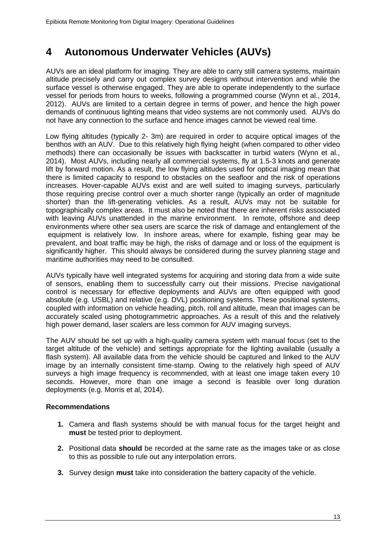# <span id="page-17-0"></span>**4 Autonomous Underwater Vehicles (AUVs)**

AUVs are an ideal platform for imaging. They are able to carry still camera systems, maintain altitude precisely and carry out complex survey designs without intervention and while the surface vessel is otherwise engaged. They are able to operate independently to the surface vessel for periods from hours to weeks, following a programmed course (Wynn et al., 2014, 2012). AUVs are limited to a certain degree in terms of power, and hence the high power demands of continuous lighting means that video systems are not commonly used. AUVs do not have any connection to the surface and hence images cannot be viewed real time.

Low flying altitudes (typically 2- 3m) are required in order to acquire optical images of the benthos with an AUV. Due to this relatively high flying height (when compared to other video methods) there can occasionally be issues with backscatter in turbid waters (Wynn et al., 2014). Most AUVs, including nearly all commercial systems, fly at 1.5-3 knots and generate lift by forward motion. As a result, the low flying altitudes used for optical imaging mean that there is limited capacity to respond to obstacles on the seafloor and the risk of operations increases. Hover-capable AUVs exist and are well suited to imaging surveys, particularly those requiring precise control over a much shorter range (typically an order of magnitude shorter) than the lift-generating vehicles. As a result, AUVs may not be suitable for topographically complex areas. It must also be noted that there are inherent risks associated with leaving AUVs unattended in the marine environment. In remote, offshore and deep environments where other sea users are scarce the risk of damage and entanglement of the equipment is relatively low. In inshore areas, where for example, fishing gear may be prevalent, and boat traffic may be high, the risks of damage and or loss of the equipment is significantly higher. This should always be considered during the survey planning stage and maritime authorities may need to be consulted.

AUVs typically have well integrated systems for acquiring and storing data from a wide suite of sensors, enabling them to successfully carry out their missions. Precise navigational control is necessary for effective deployments and AUVs are often equipped with good absolute (e.g. USBL) and relative (e.g. DVL) positioning systems. These positional systems, coupled with information on vehicle heading, pitch, roll and altitude, mean that images can be accurately scaled using photogrammetric approaches. As a result of this and the relatively high power demand, laser scalers are less common for AUV imaging surveys.

The AUV should be set up with a high-quality camera system with manual focus (set to the target altitude of the vehicle) and settings appropriate for the lighting available (usually a flash system). All available data from the vehicle should be captured and linked to the AUV image by an internally consistent time-stamp. Owing to the relatively high speed of AUV surveys a high image frequency is recommended, with at least one image taken every 10 seconds. However, more than one image a second is feasible over long duration deployments (e.g. Morris et al, 2014).

### **Recommendations**

- **1.** Camera and flash systems should be with manual focus for the target height and **must** be tested prior to deployment.
- **2.** Positional data **should** be recorded at the same rate as the images take or as close to this as possible to rule out any interpolation errors.
- **3.** Survey design **must** take into consideration the battery capacity of the vehicle.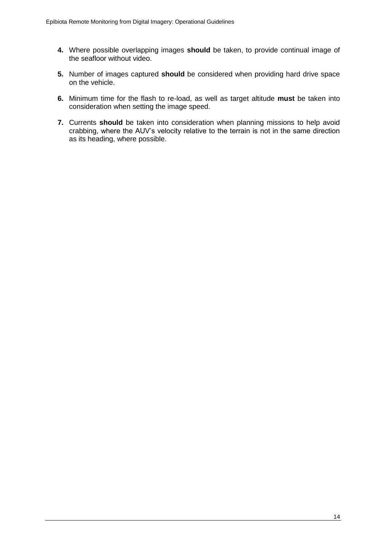- **4.** Where possible overlapping images **should** be taken, to provide continual image of the seafloor without video.
- **5.** Number of images captured **should** be considered when providing hard drive space on the vehicle.
- **6.** Minimum time for the flash to re-load, as well as target altitude **must** be taken into consideration when setting the image speed.
- **7.** Currents **should** be taken into consideration when planning missions to help avoid crabbing, where the AUV's velocity relative to the terrain is not in the same direction as its heading, where possible.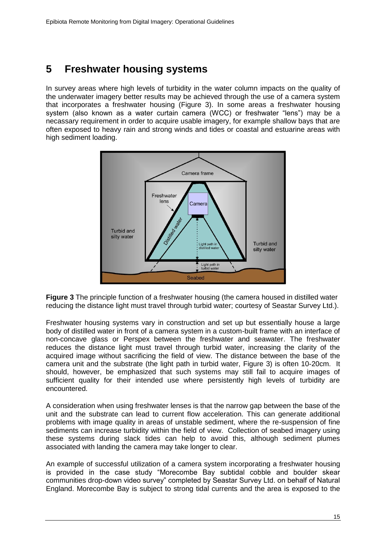## <span id="page-19-0"></span>**5 Freshwater housing systems**

In survey areas where high levels of turbidity in the water column impacts on the quality of the underwater imagery better results may be achieved through the use of a camera system that incorporates a freshwater housing (Figure 3). In some areas a freshwater housing system (also known as a water curtain camera (WCC) or freshwater "lens") may be a necassary requirement in order to acquire usable imagery, for example shallow bays that are often exposed to heavy rain and strong winds and tides or coastal and estuarine areas with high sediment loading.



**Figure 3** The principle function of a freshwater housing (the camera housed in distilled water reducing the distance light must travel through turbid water; courtesy of Seastar Survey Ltd.).

Freshwater housing systems vary in construction and set up but essentially house a large body of distilled water in front of a camera system in a custom-built frame with an interface of non-concave glass or Perspex between the freshwater and seawater. The freshwater reduces the distance light must travel through turbid water, increasing the clarity of the acquired image without sacrificing the field of view. The distance between the base of the camera unit and the substrate (the light path in turbid water, Figure 3) is often 10-20cm. It should, however, be emphasized that such systems may still fail to acquire images of sufficient quality for their intended use where persistently high levels of turbidity are encountered.

A consideration when using freshwater lenses is that the narrow gap between the base of the unit and the substrate can lead to current flow acceleration. This can generate additional problems with image quality in areas of unstable sediment, where the re-suspension of fine sediments can increase turbidity within the field of view. Collection of seabed imagery using these systems during slack tides can help to avoid this, although sediment plumes associated with landing the camera may take longer to clear.

An example of successful utilization of a camera system incorporating a freshwater housing is provided in the case study "Morecombe Bay subtidal cobble and boulder skear communities drop-down video survey" completed by Seastar Survey Ltd. on behalf of Natural England. Morecombe Bay is subject to strong tidal currents and the area is exposed to the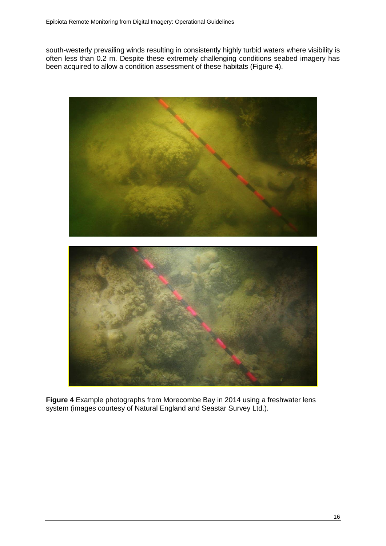south-westerly prevailing winds resulting in consistently highly turbid waters where visibility is often less than 0.2 m. Despite these extremely challenging conditions seabed imagery has been acquired to allow a condition assessment of these habitats (Figure 4).





**Figure 4** Example photographs from Morecombe Bay in 2014 using a freshwater lens system (images courtesy of Natural England and Seastar Survey Ltd.).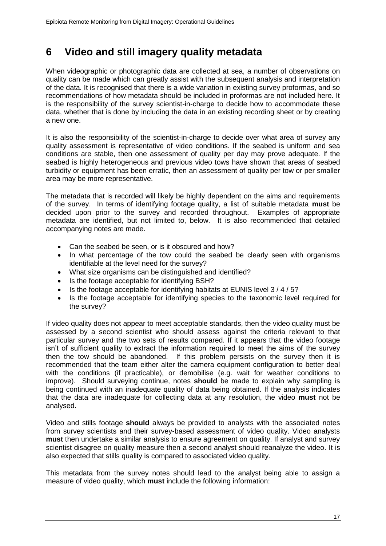## <span id="page-21-0"></span>**6 Video and still imagery quality metadata**

When videographic or photographic data are collected at sea, a number of observations on quality can be made which can greatly assist with the subsequent analysis and interpretation of the data. It is recognised that there is a wide variation in existing survey proformas, and so recommendations of how metadata should be included in proformas are not included here. It is the responsibility of the survey scientist-in-charge to decide how to accommodate these data, whether that is done by including the data in an existing recording sheet or by creating a new one.

It is also the responsibility of the scientist-in-charge to decide over what area of survey any quality assessment is representative of video conditions. If the seabed is uniform and sea conditions are stable, then one assessment of quality per day may prove adequate. If the seabed is highly heterogeneous and previous video tows have shown that areas of seabed turbidity or equipment has been erratic, then an assessment of quality per tow or per smaller area may be more representative.

The metadata that is recorded will likely be highly dependent on the aims and requirements of the survey. In terms of identifying footage quality, a list of suitable metadata **must** be decided upon prior to the survey and recorded throughout. Examples of appropriate metadata are identified, but not limited to, below. It is also recommended that detailed accompanying notes are made.

- Can the seabed be seen, or is it obscured and how?
- In what percentage of the tow could the seabed be clearly seen with organisms identifiable at the level need for the survey?
- What size organisms can be distinguished and identified?
- Is the footage acceptable for identifying BSH?
- $\bullet$  Is the footage acceptable for identifying habitats at EUNIS level 3/4/5?
- Is the footage acceptable for identifying species to the taxonomic level required for the survey?

If video quality does not appear to meet acceptable standards, then the video quality must be assessed by a second scientist who should assess against the criteria relevant to that particular survey and the two sets of results compared. If it appears that the video footage isn't of sufficient quality to extract the information required to meet the aims of the survey then the tow should be abandoned. If this problem persists on the survey then it is recommended that the team either alter the camera equipment configuration to better deal with the conditions (if practicable), or demobilise (e.g. wait for weather conditions to improve). Should surveying continue, notes **should** be made to explain why sampling is being continued with an inadequate quality of data being obtained. If the analysis indicates that the data are inadequate for collecting data at any resolution, the video **must** not be analysed.

Video and stills footage **should** always be provided to analysts with the associated notes from survey scientists and their survey-based assessment of video quality. Video analysts **must** then undertake a similar analysis to ensure agreement on quality. If analyst and survey scientist disagree on quality measure then a second analyst should reanalyze the video. It is also expected that stills quality is compared to associated video quality.

This metadata from the survey notes should lead to the analyst being able to assign a measure of video quality, which **must** include the following information: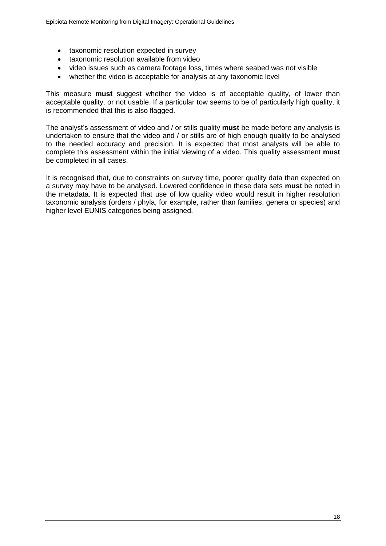- taxonomic resolution expected in survey
- taxonomic resolution available from video
- video issues such as camera footage loss, times where seabed was not visible
- whether the video is acceptable for analysis at any taxonomic level

This measure **must** suggest whether the video is of acceptable quality, of lower than acceptable quality, or not usable. If a particular tow seems to be of particularly high quality, it is recommended that this is also flagged.

The analyst's assessment of video and / or stills quality **must** be made before any analysis is undertaken to ensure that the video and / or stills are of high enough quality to be analysed to the needed accuracy and precision. It is expected that most analysts will be able to complete this assessment within the initial viewing of a video. This quality assessment **must** be completed in all cases.

It is recognised that, due to constraints on survey time, poorer quality data than expected on a survey may have to be analysed. Lowered confidence in these data sets **must** be noted in the metadata. It is expected that use of low quality video would result in higher resolution taxonomic analysis (orders / phyla, for example, rather than families, genera or species) and higher level EUNIS categories being assigned.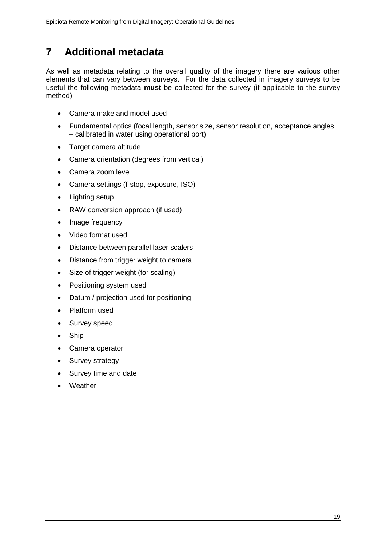# <span id="page-23-0"></span>**7 Additional metadata**

As well as metadata relating to the overall quality of the imagery there are various other elements that can vary between surveys. For the data collected in imagery surveys to be useful the following metadata **must** be collected for the survey (if applicable to the survey method):

- Camera make and model used
- Fundamental optics (focal length, sensor size, sensor resolution, acceptance angles – calibrated in water using operational port)
- Target camera altitude
- Camera orientation (degrees from vertical)
- Camera zoom level
- Camera settings (f-stop, exposure, ISO)
- Lighting setup
- RAW conversion approach (if used)
- Image frequency
- Video format used
- Distance between parallel laser scalers
- Distance from trigger weight to camera
- Size of trigger weight (for scaling)
- Positioning system used
- Datum / projection used for positioning
- Platform used
- Survey speed
- Ship
- Camera operator
- Survey strategy
- Survey time and date
- Weather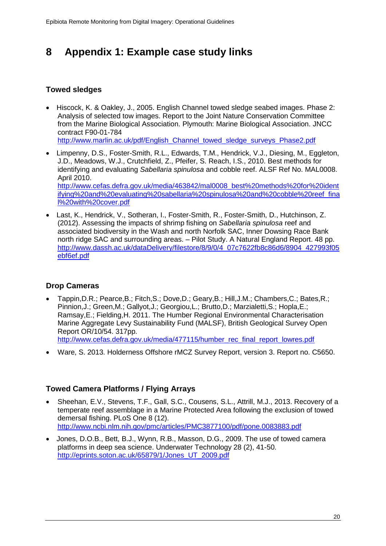# <span id="page-24-0"></span>**8 Appendix 1: Example case study links**

### **Towed sledges**

 Hiscock, K. & Oakley, J., 2005. English Channel towed sledge seabed images. Phase 2: Analysis of selected tow images. Report to the Joint Nature Conservation Committee from the Marine Biological Association. Plymouth: Marine Biological Association. JNCC contract F90-01-784

[http://www.marlin.ac.uk/pdf/English\\_Channel\\_towed\\_sledge\\_surveys\\_Phase2.pdf](http://www.marlin.ac.uk/pdf/English_Channel_towed_sledge_surveys_Phase2.pdf)

- Limpenny, D.S., Foster-Smith, R.L., Edwards, T.M., Hendrick, V.J., Diesing, M., Eggleton, J.D., Meadows, W.J., Crutchfield, Z., Pfeifer, S. Reach, I.S., 2010. Best methods for identifying and evaluating *Sabellaria spinulosa* and cobble reef. ALSF Ref No. MAL0008. April 2010. [http://www.cefas.defra.gov.uk/media/463842/mal0008\\_best%20methods%20for%20ident](http://www.cefas.defra.gov.uk/media/463842/mal0008_best%20methods%20for%20identifying%20and%20evaluating%20sabellaria%20spinulosa%20and%20cobble%20reef_final%20with%20cover.pdf) [ifying%20and%20evaluating%20sabellaria%20spinulosa%20and%20cobble%20reef\\_fina](http://www.cefas.defra.gov.uk/media/463842/mal0008_best%20methods%20for%20identifying%20and%20evaluating%20sabellaria%20spinulosa%20and%20cobble%20reef_final%20with%20cover.pdf) [l%20with%20cover.pdf](http://www.cefas.defra.gov.uk/media/463842/mal0008_best%20methods%20for%20identifying%20and%20evaluating%20sabellaria%20spinulosa%20and%20cobble%20reef_final%20with%20cover.pdf)
- Last, K., Hendrick, V., Sotheran, I., Foster-Smith, R., Foster-Smith, D., Hutchinson, Z. (2012). Assessing the impacts of shrimp fishing on *Sabellaria spinulosa* reef and associated biodiversity in the Wash and north Norfolk SAC, Inner Dowsing Race Bank north ridge SAC and surrounding areas. – Pilot Study. A Natural England Report. 48 pp. [http://www.dassh.ac.uk/dataDelivery/filestore/8/9/0/4\\_07c7622fb8c86d6/8904\\_427993f05](http://www.dassh.ac.uk/dataDelivery/filestore/8/9/0/4_07c7622fb8c86d6/8904_427993f05ebf6ef.pdf) [ebf6ef.pdf](http://www.dassh.ac.uk/dataDelivery/filestore/8/9/0/4_07c7622fb8c86d6/8904_427993f05ebf6ef.pdf)

### **Drop Cameras**

- Tappin,D.R.; Pearce,B.; Fitch,S.; Dove,D.; Geary,B.; Hill,J.M.; Chambers,C.; Bates,R.; Pinnion,J.; Green,M.; Gallyot,J.; Georgiou,L.; Brutto,D.; Marzialetti,S.; Hopla,E.; Ramsay,E.; Fielding,H. 2011. The Humber Regional Environmental Characterisation Marine Aggregate Levy Sustainability Fund (MALSF), British Geological Survey Open Report OR/10/54. 317pp. [http://www.cefas.defra.gov.uk/media/477115/humber\\_rec\\_final\\_report\\_lowres.pdf](http://www.cefas.defra.gov.uk/media/477115/humber_rec_final_report_lowres.pdf)
- Ware, S. 2013. Holderness Offshore rMCZ Survey Report, version 3. Report no. C5650.

### **Towed Camera Platforms / Flying Arrays**

- Sheehan, E.V., Stevens, T.F., Gall, S.C., Cousens, S.L., Attrill, M.J., 2013. Recovery of a temperate reef assemblage in a Marine Protected Area following the exclusion of towed demersal fishing. PLoS One 8 (12). <http://www.ncbi.nlm.nih.gov/pmc/articles/PMC3877100/pdf/pone.0083883.pdf>
- Jones, D.O.B., Bett, B.J., Wynn, R.B., Masson, D.G., 2009. The use of towed camera platforms in deep sea science. Underwater Technology 28 (2), 41-50. [http://eprints.soton.ac.uk/65879/1/Jones\\_UT\\_2009.pdf](http://eprints.soton.ac.uk/65879/1/Jones_UT_2009.pdf)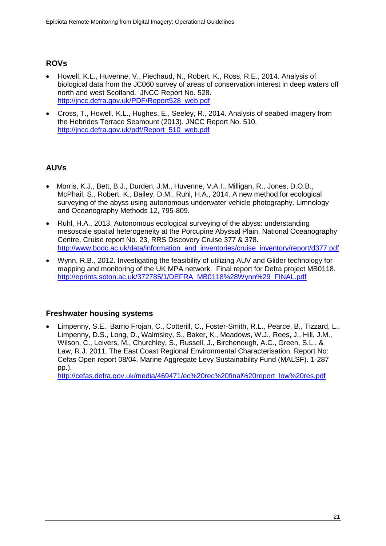### **ROVs**

- Howell, K.L., Huvenne, V., Piechaud, N., Robert, K., Ross, R.E., 2014. Analysis of biological data from the JC060 survey of areas of conservation interest in deep waters off north and west Scotland. JNCC Report No. 528. [http://jncc.defra.gov.uk/PDF/Report528\\_web.pdf](http://jncc.defra.gov.uk/PDF/Report528_web.pdf)
- Cross, T., Howell, K.L., Hughes, E., Seeley, R., 2014. Analysis of seabed imagery from the Hebrides Terrace Seamount (2013). JNCC Report No. 510. [http://jncc.defra.gov.uk/pdf/Report\\_510\\_web.pdf](http://jncc.defra.gov.uk/pdf/Report_510_web.pdf)

### **AUVs**

- Morris, K.J., Bett, B.J., Durden, J.M., Huvenne, V.A.I., Milligan, R., Jones, D.O.B., McPhail, S., Robert, K., Bailey, D.M., Ruhl, H.A., 2014. A new method for ecological surveying of the abyss using autonomous underwater vehicle photography. Limnology and Oceanography Methods 12, 795-809.
- Ruhl, H.A., 2013. Autonomous ecological surveying of the abyss: understanding mesoscale spatial heterogeneity at the Porcupine Abyssal Plain. National Oceanography Centre, Cruise report No. 23, RRS Discovery Cruise 377 & 378. [http://www.bodc.ac.uk/data/information\\_and\\_inventories/cruise\\_inventory/report/d377.pdf](http://www.bodc.ac.uk/data/information_and_inventories/cruise_inventory/report/d377.pdf)
- Wynn, R.B., 2012. Investigating the feasibility of utilizing AUV and Glider technology for mapping and monitoring of the UK MPA network. Final report for Defra project MB0118. [http://eprints.soton.ac.uk/372785/1/DEFRA\\_MB0118%28Wynn%29\\_FINAL.pdf](http://eprints.soton.ac.uk/372785/1/DEFRA_MB0118%28Wynn%29_FINAL.pdf)

### **Freshwater housing systems**

 Limpenny, S.E., Barrio Frojan, C., Cotterill, C., Foster-Smith, R.L., Pearce, B., Tizzard, L., Limpenny, D.S., Long, D., Walmsley, S., Baker, K., Meadows, W.J., Rees, J., Hill, J.M., Wilson, C., Leivers, M., Churchley, S., Russell, J., Birchenough, A.C., Green, S.L., & Law, R.J. 2011. The East Coast Regional Environmental Characterisation. Report No: Cefas Open report 08/04. Marine Aggregate Levy Sustainability Fund (MALSF). 1-287 pp.).

[http://cefas.defra.gov.uk/media/469471/ec%20rec%20final%20report\\_low%20res.pdf](http://cefas.defra.gov.uk/media/469471/ec%20rec%20final%20report_low%20res.pdf)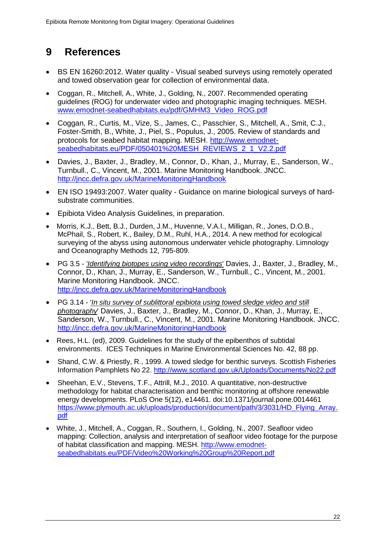# <span id="page-26-0"></span>**9 References**

- BS EN 16260:2012. Water quality Visual seabed surveys using remotely operated and towed observation gear for collection of environmental data.
- Coggan, R., Mitchell, A., White, J., Golding, N., 2007. Recommended operating guidelines (ROG) for underwater video and photographic imaging techniques. MESH. [www.emodnet-seabedhabitats.eu/pdf/GMHM3\\_Video\\_ROG.pdf](http://www.emodnet-seabedhabitats.eu/pdf/GMHM3_Video_ROG.pdf)
- Coggan, R., Curtis, M., Vize, S., James, C., Passchier, S., Mitchell, A., Smit, C.J., Foster-Smith, B., White, J., Piel, S., Populus, J., 2005. Review of standards and protocols for seabed habitat mapping. MESH. [http://www.emodnet](http://www.emodnet-seabedhabitats.eu/PDF/050401%20MESH_REVIEWS_2_1_V2.2.pdf)[seabedhabitats.eu/PDF/050401%20MESH\\_REVIEWS\\_2\\_1\\_V2.2.pdf](http://www.emodnet-seabedhabitats.eu/PDF/050401%20MESH_REVIEWS_2_1_V2.2.pdf)
- Davies, J., Baxter, J., Bradley, M., Connor, D., Khan, J., Murray, E., Sanderson, W., Turnbull., C., Vincent, M., 2001. Marine Monitoring Handbook. JNCC. <http://jncc.defra.gov.uk/MarineMonitoringHandbook>
- EN ISO 19493:2007. Water quality Guidance on marine biological surveys of hardsubstrate communities.
- Epibiota Video Analysis Guidelines, in preparation.
- Morris, K.J., Bett, B.J., Durden, J.M., Huvenne, V.A.I., Milligan, R., Jones, D.O.B., McPhail, S., Robert, K., Bailey, D.M., Ruhl, H.A., 2014. A new method for ecological surveying of the abyss using autonomous underwater vehicle photography. Limnology and Oceanography Methods 12, 795-809.
- PG 3.5 *['Identifying biotopes using video recordings](http://jncc.defra.gov.uk/PDF/MMH-Pg%203-5.pdf)*' Davies, J., Baxter, J., Bradley, M., Connor, D., Khan, J., Murray, E., Sanderson, W., Turnbull., C., Vincent, M., 2001. Marine Monitoring Handbook. JNCC. <http://jncc.defra.gov.uk/MarineMonitoringHandbook>
- PG 3.14 '*[In situ survey of sublittoral epibiota using towed sledge video and still](http://jncc.defra.gov.uk/PDF/MMH-Pg%203-14.pdf)  [photography](http://jncc.defra.gov.uk/PDF/MMH-Pg%203-14.pdf)*' Davies, J., Baxter, J., Bradley, M., Connor, D., Khan, J., Murray, E., Sanderson, W., Turnbull., C., Vincent, M., 2001. Marine Monitoring Handbook. JNCC. <http://jncc.defra.gov.uk/MarineMonitoringHandbook>
- Rees, H.L. (ed), 2009. Guidelines for the study of the epibenthos of subtidal environments. ICES Techniques in Marine Environmental Sciences No. 42, 88 pp.
- Shand, C.W. & Priestly, R., 1999. A towed sledge for benthic surveys. Scottish Fisheries Information Pamphlets No 22.<http://www.scotland.gov.uk/Uploads/Documents/No22.pdf>
- Sheehan, E.V., Stevens, T.F., Attrill, M.J., 2010. A quantitative, non-destructive methodology for habitat characterisation and benthic monitoring at offshore renewable energy developments. PLoS One 5(12), e14461. doi:10.1371/journal.pone.0014461 [https://www.plymouth.ac.uk/uploads/production/document/path/3/3031/HD\\_Flying\\_Array.](https://www.plymouth.ac.uk/uploads/production/document/path/3/3031/HD_Flying_Array.pdf) [pdf](https://www.plymouth.ac.uk/uploads/production/document/path/3/3031/HD_Flying_Array.pdf)
- White, J., Mitchell, A., Coggan, R., Southern, I., Golding, N., 2007. Seafloor video mapping: Collection, analysis and interpretation of seafloor video footage for the purpose of habitat classification and mapping. MESH. [http://www.emodnet](http://www.emodnet-seabedhabitats.eu/PDF/Video%20Working%20Group%20Report.pdf)[seabedhabitats.eu/PDF/Video%20Working%20Group%20Report.pdf](http://www.emodnet-seabedhabitats.eu/PDF/Video%20Working%20Group%20Report.pdf)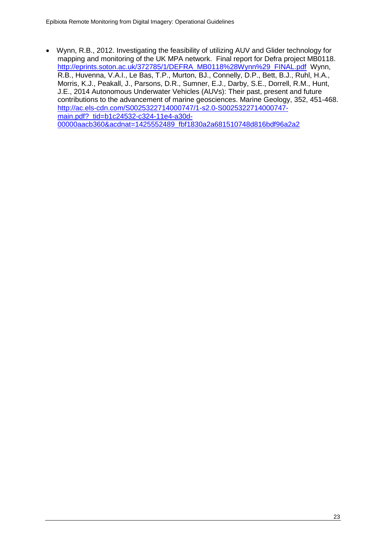Wynn, R.B., 2012. Investigating the feasibility of utilizing AUV and Glider technology for mapping and monitoring of the UK MPA network. Final report for Defra project MB0118. [http://eprints.soton.ac.uk/372785/1/DEFRA\\_MB0118%28Wynn%29\\_FINAL.pdf](http://eprints.soton.ac.uk/372785/1/DEFRA_MB0118%28Wynn%29_FINAL.pdf) Wynn, R.B., Huvenna, V.A.I., Le Bas, T.P., Murton, BJ., Connelly, D.P., Bett, B.J., Ruhl, H.A., Morris, K.J., Peakall, J., Parsons, D.R., Sumner, E.J., Darby, S.E., Dorrell, R.M., Hunt, J.E., 2014 Autonomous Underwater Vehicles (AUVs): Their past, present and future contributions to the advancement of marine geosciences. Marine Geology, 352, 451-468. [http://ac.els-cdn.com/S0025322714000747/1-s2.0-S0025322714000747](http://ac.els-cdn.com/S0025322714000747/1-s2.0-S0025322714000747-main.pdf?_tid=b1c24532-c324-11e4-a30d-00000aacb360&acdnat=1425552489_fbf1830a2a681510748d816bdf96a2a2) [main.pdf?\\_tid=b1c24532-c324-11e4-a30d-](http://ac.els-cdn.com/S0025322714000747/1-s2.0-S0025322714000747-main.pdf?_tid=b1c24532-c324-11e4-a30d-00000aacb360&acdnat=1425552489_fbf1830a2a681510748d816bdf96a2a2)[00000aacb360&acdnat=1425552489\\_fbf1830a2a681510748d816bdf96a2a2](http://ac.els-cdn.com/S0025322714000747/1-s2.0-S0025322714000747-main.pdf?_tid=b1c24532-c324-11e4-a30d-00000aacb360&acdnat=1425552489_fbf1830a2a681510748d816bdf96a2a2)